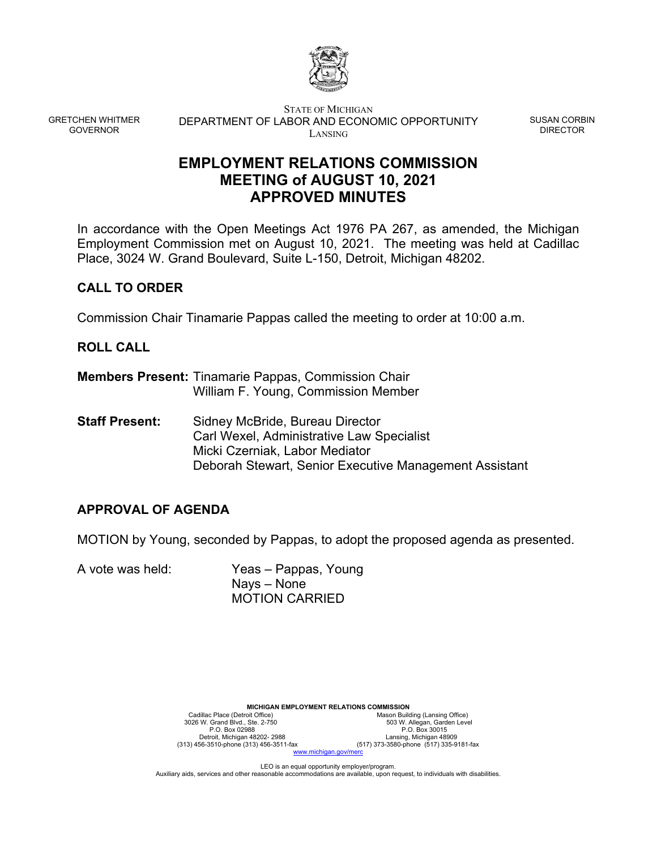

GRETCHEN WHITMER GOVERNOR

STATE OF MICHIGAN DEPARTMENT OF LABOR AND ECONOMIC OPPORTUNITY LANSING

SUSAN CORBIN DIRECTOR

# **EMPLOYMENT RELATIONS COMMISSION MEETING of AUGUST 10, 2021 APPROVED MINUTES**

In accordance with the Open Meetings Act 1976 PA 267, as amended, the Michigan Employment Commission met on August 10, 2021. The meeting was held at Cadillac Place, 3024 W. Grand Boulevard, Suite L-150, Detroit, Michigan 48202.

# **CALL TO ORDER**

Commission Chair Tinamarie Pappas called the meeting to order at 10:00 a.m.

# **ROLL CALL**

- **Members Present:** Tinamarie Pappas, Commission Chair William F. Young, Commission Member
- **Staff Present:** Sidney McBride, Bureau Director Carl Wexel, Administrative Law Specialist Micki Czerniak, Labor Mediator Deborah Stewart, Senior Executive Management Assistant

# **APPROVAL OF AGENDA**

MOTION by Young, seconded by Pappas, to adopt the proposed agenda as presented.

A vote was held: Yeas – Pappas, Young Nays – None MOTION CARRIED

> **MICHIGAN EMPLOYMENT RELATIONS COMMISSION**<br>Mason Build<br>Mason Build Cadillac Place (Detroit Office) Mason Building (Lansing Office)<br>3026 W. Grand Blvd., Ste. 2-750 503 W. Allegan, Garden Level P.O. Box 02988 P.O. Box 30015<br>Detroit, Michigan 48202-2988 Lansing, Michigan 48202-2988 Lansing, Michigan 48202-2988 (313)<br>T3-3580-phone (517) 373-3580-phone (517) 373-3580-phone (517) 373-4560-phone (517) 373-4560-phone ( Detroit, Michigan 48202- 2988 Lansing, Michigan 48909 (313) 456-3510-phone (313) 456-3511-fax (517) 373-3580-phone (517) 335-9181-fax ww.michigan.gov/m

> > LEO is an equal opportunity employer/program.

Auxiliary aids, services and other reasonable accommodations are available, upon request, to individuals with disabilities.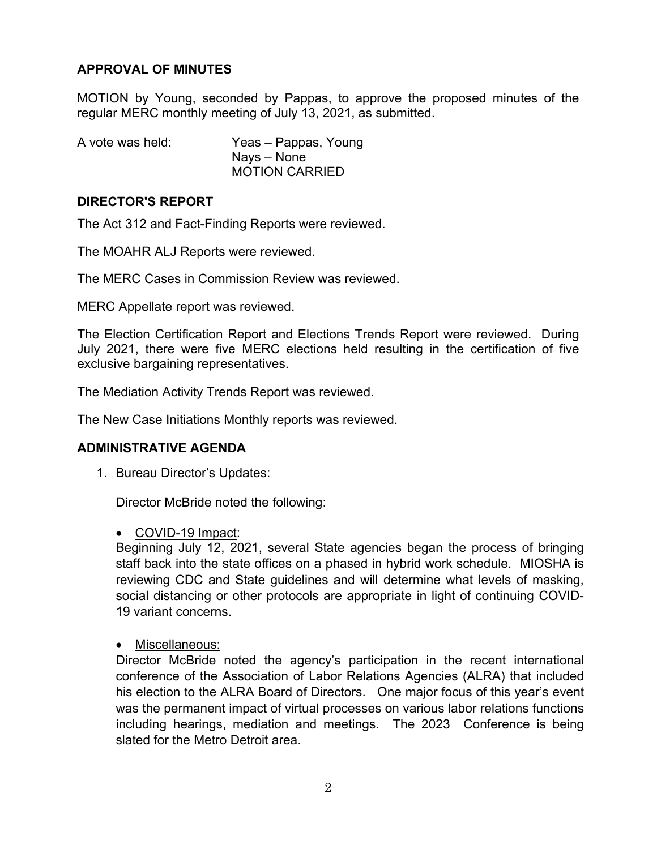## **APPROVAL OF MINUTES**

MOTION by Young, seconded by Pappas, to approve the proposed minutes of the regular MERC monthly meeting of July 13, 2021, as submitted.

| A vote was held: | Yeas – Pappas, Young  |
|------------------|-----------------------|
|                  | Nays – None           |
|                  | <b>MOTION CARRIED</b> |

## **DIRECTOR'S REPORT**

The Act 312 and Fact-Finding Reports were reviewed.

The MOAHR ALJ Reports were reviewed.

The MERC Cases in Commission Review was reviewed.

MERC Appellate report was reviewed.

The Election Certification Report and Elections Trends Report were reviewed. During July 2021, there were five MERC elections held resulting in the certification of five exclusive bargaining representatives.

The Mediation Activity Trends Report was reviewed.

The New Case Initiations Monthly reports was reviewed.

## **ADMINISTRATIVE AGENDA**

1. Bureau Director's Updates:

Director McBride noted the following:

COVID-19 Impact:

Beginning July 12, 2021, several State agencies began the process of bringing staff back into the state offices on a phased in hybrid work schedule. MIOSHA is reviewing CDC and State guidelines and will determine what levels of masking, social distancing or other protocols are appropriate in light of continuing COVID-19 variant concerns.

• Miscellaneous:

Director McBride noted the agency's participation in the recent international conference of the Association of Labor Relations Agencies (ALRA) that included his election to the ALRA Board of Directors. One major focus of this year's event was the permanent impact of virtual processes on various labor relations functions including hearings, mediation and meetings. The 2023 Conference is being slated for the Metro Detroit area.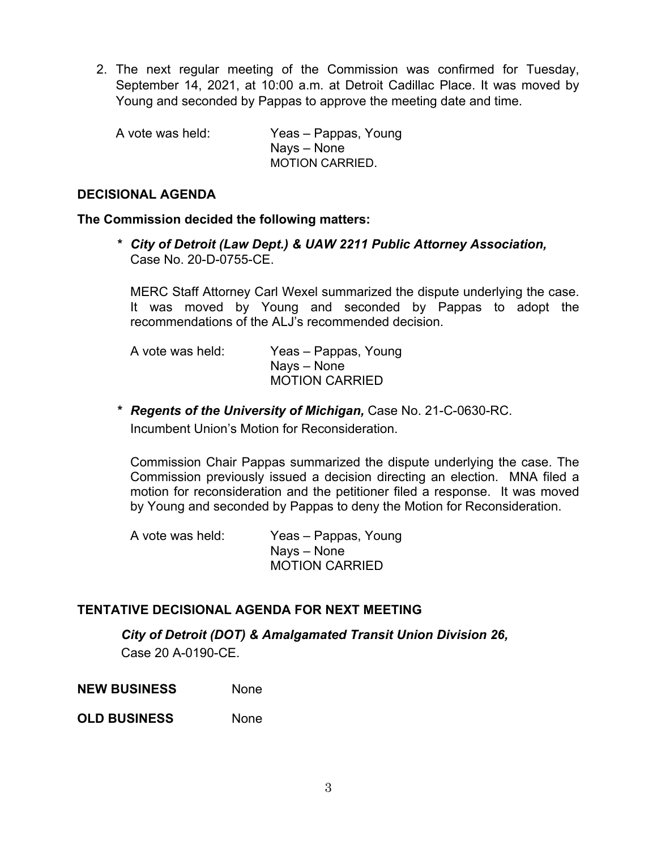2. The next regular meeting of the Commission was confirmed for Tuesday, September 14, 2021, at 10:00 a.m. at Detroit Cadillac Place. It was moved by Young and seconded by Pappas to approve the meeting date and time.

| A vote was held: | Yeas – Pappas, Young   |
|------------------|------------------------|
|                  | Nays – None            |
|                  | <b>MOTION CARRIED.</b> |

## **DECISIONAL AGENDA**

### **The Commission decided the following matters:**

*\* City of Detroit (Law Dept.) & UAW 2211 Public Attorney Association,*  Case No. 20-D-0755-CE.

MERC Staff Attorney Carl Wexel summarized the dispute underlying the case. It was moved by Young and seconded by Pappas to adopt the recommendations of the ALJ's recommended decision.

A vote was held: Yeas – Pappas, Young Nays – None MOTION CARRIED

*\* Regents of the University of Michigan,* Case No. 21-C-0630-RC. Incumbent Union's Motion for Reconsideration.

Commission Chair Pappas summarized the dispute underlying the case. The Commission previously issued a decision directing an election. MNA filed a motion for reconsideration and the petitioner filed a response. It was moved by Young and seconded by Pappas to deny the Motion for Reconsideration.

A vote was held: Yeas – Pappas, Young Nays – None MOTION CARRIED

# **TENTATIVE DECISIONAL AGENDA FOR NEXT MEETING**

*City of Detroit (DOT) & Amalgamated Transit Union Division 26,* 

Case 20 A-0190-CE.

**NEW BUSINESS** None

**OLD BUSINESS** None